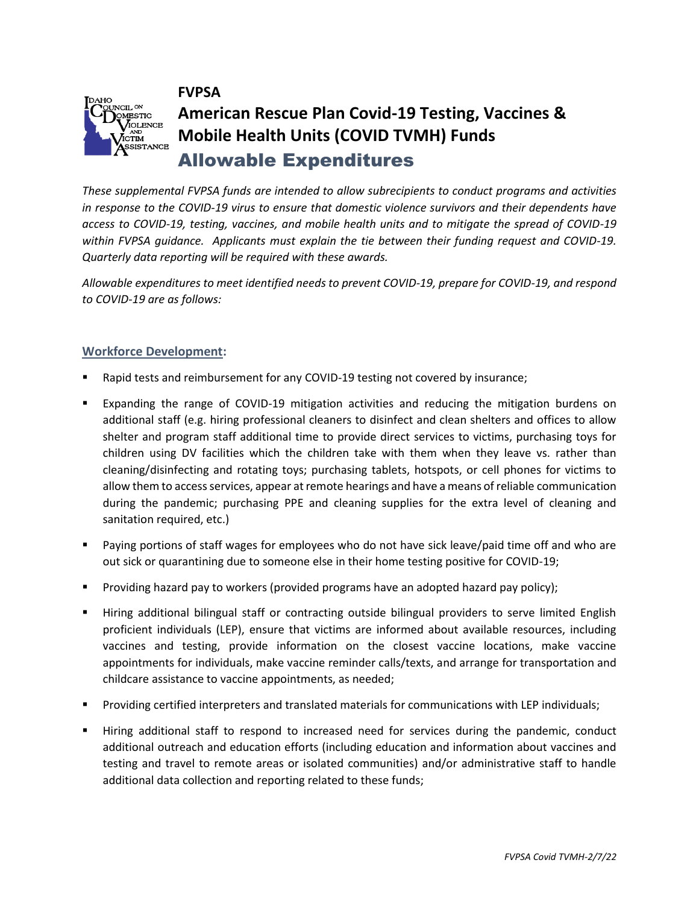



# **American Rescue Plan Covid-19 Testing, Vaccines & Mobile Health Units (COVID TVMH) Funds** Allowable Expenditures

*These supplemental FVPSA funds are intended to allow subrecipients to conduct programs and activities in response to the COVID-19 virus to ensure that domestic violence survivors and their dependents have access to COVID-19, testing, vaccines, and mobile health units and to mitigate the spread of COVID-19 within FVPSA guidance. Applicants must explain the tie between their funding request and COVID-19. Quarterly data reporting will be required with these awards.*

*Allowable expenditures to meet identified needs to prevent COVID-19, prepare for COVID-19, and respond to COVID-19 are as follows:* 

### **Workforce Development:**

- Rapid tests and reimbursement for any COVID-19 testing not covered by insurance;
- Expanding the range of COVID-19 mitigation activities and reducing the mitigation burdens on additional staff (e.g. hiring professional cleaners to disinfect and clean shelters and offices to allow shelter and program staff additional time to provide direct services to victims, purchasing toys for children using DV facilities which the children take with them when they leave vs. rather than cleaning/disinfecting and rotating toys; purchasing tablets, hotspots, or cell phones for victims to allow them to access services, appear at remote hearings and have a means of reliable communication during the pandemic; purchasing PPE and cleaning supplies for the extra level of cleaning and sanitation required, etc.)
- Paying portions of staff wages for employees who do not have sick leave/paid time off and who are out sick or quarantining due to someone else in their home testing positive for COVID-19;
- Providing hazard pay to workers (provided programs have an adopted hazard pay policy);
- Hiring additional bilingual staff or contracting outside bilingual providers to serve limited English proficient individuals (LEP), ensure that victims are informed about available resources, including vaccines and testing, provide information on the closest vaccine locations, make vaccine appointments for individuals, make vaccine reminder calls/texts, and arrange for transportation and childcare assistance to vaccine appointments, as needed;
- Providing certified interpreters and translated materials for communications with LEP individuals;
- Hiring additional staff to respond to increased need for services during the pandemic, conduct additional outreach and education efforts (including education and information about vaccines and testing and travel to remote areas or isolated communities) and/or administrative staff to handle additional data collection and reporting related to these funds;